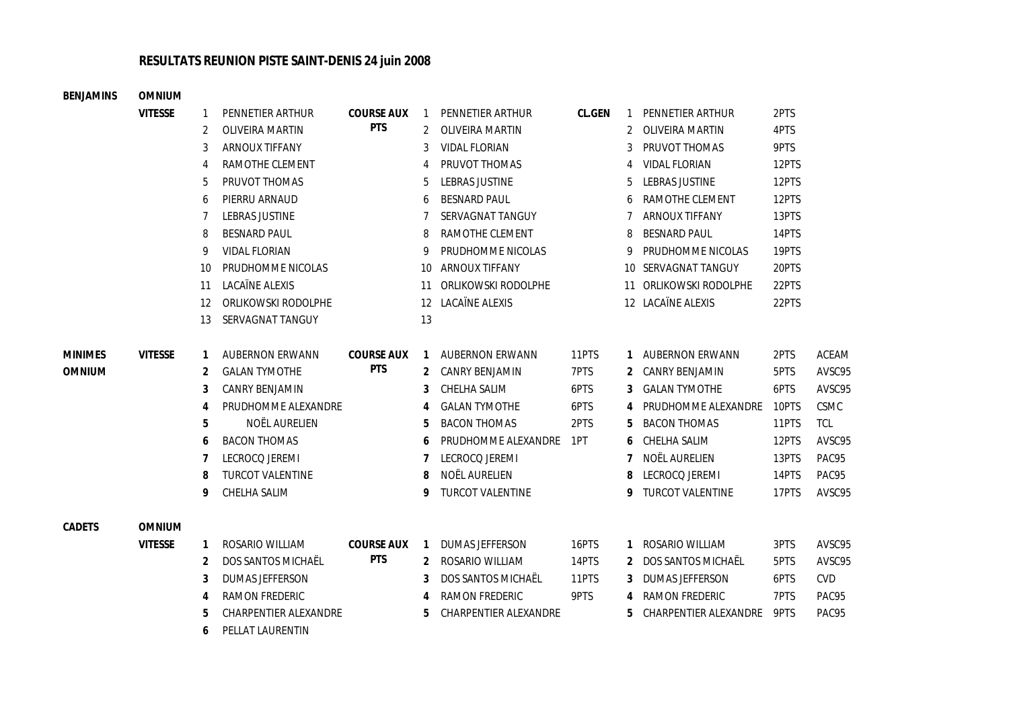## **RESULTATS REUNION PISTE SAINT-DENIS 24 juin 2008**

|  | BENJAMINS      | <b>OMNIUM</b>  |                   |                         |                   |                   |                         |        |                |                        |       |              |
|--|----------------|----------------|-------------------|-------------------------|-------------------|-------------------|-------------------------|--------|----------------|------------------------|-------|--------------|
|  |                | <b>VITESSE</b> | 1                 | PENNETIER ARTHUR        | <b>COURSE AUX</b> | 1                 | PENNETIER ARTHUR        | CL.GEN |                | 1 PENNETIER ARTHUR     | 2PTS  |              |
|  |                |                | 2                 | <b>OLIVEIRA MARTIN</b>  | <b>PTS</b>        | 2                 | OLIVEIRA MARTIN         |        | $\overline{2}$ | OLIVEIRA MARTIN        | 4PTS  |              |
|  |                |                | 3                 | <b>ARNOUX TIFFANY</b>   |                   | 3                 | <b>VIDAL FLORIAN</b>    |        | 3              | PRUVOT THOMAS          | 9PTS  |              |
|  |                |                | 4                 | RAMOTHE CLEMENT         |                   | 4                 | PRUVOT THOMAS           |        | 4              | <b>VIDAL FLORIAN</b>   | 12PTS |              |
|  |                |                | 5                 | PRUVOT THOMAS           |                   | 5                 | LEBRAS JUSTINE          |        | 5              | <b>LEBRAS JUSTINE</b>  | 12PTS |              |
|  |                |                | 6                 | PIERRU ARNAUD           |                   | 6                 | <b>BESNARD PAUL</b>     |        | 6              | RAMOTHE CLEMENT        | 12PTS |              |
|  |                |                | 7                 | <b>LEBRAS JUSTINE</b>   |                   | 7                 | SERVAGNAT TANGUY        |        | 7              | <b>ARNOUX TIFFANY</b>  | 13PTS |              |
|  |                |                | 8                 | <b>BESNARD PAUL</b>     |                   | 8                 | RAMOTHE CLEMENT         |        | 8              | <b>BESNARD PAUL</b>    | 14PTS |              |
|  |                |                | 9                 | <b>VIDAL FLORIAN</b>    |                   |                   | PRUDHOMME NICOLAS       |        | 9              | PRUDHOMME NICOLAS      | 19PTS |              |
|  |                |                | 10                | PRUDHOMME NICOLAS       |                   | 10                | <b>ARNOUX TIFFANY</b>   |        |                | 10 SERVAGNAT TANGUY    | 20PTS |              |
|  |                |                | 11                | LACAÏNE ALEXIS          |                   | 11                | ORLIKOWSKI RODOLPHE     |        |                | 11 ORLIKOWSKI RODOLPHE | 22PTS |              |
|  |                |                | $12 \overline{ }$ | ORLIKOWSKI RODOLPHE     |                   | $12 \overline{ }$ | LACAÏNE ALEXIS          |        |                | 12 LACAÏNE ALEXIS      | 22PTS |              |
|  |                |                | 13                | SERVAGNAT TANGUY        |                   | 13                |                         |        |                |                        |       |              |
|  | <b>MINIMES</b> | <b>VITESSE</b> | 1                 | <b>AUBERNON ERWANN</b>  | <b>COURSE AUX</b> | 1                 | <b>AUBERNON ERWANN</b>  | 11PTS  |                | 1 AUBERNON ERWANN      | 2PTS  | <b>ACEAM</b> |
|  | <b>OMNIUM</b>  |                | 2                 | <b>GALAN TYMOTHE</b>    | <b>PTS</b>        | 2                 | <b>CANRY BENJAMIN</b>   | 7PTS   | 2              | CANRY BENJAMIN         | 5PTS  | AVSC95       |
|  |                |                | 3                 | CANRY BENJAMIN          |                   | 3                 | CHELHA SALIM            | 6PTS   |                | 3 GALAN TYMOTHE        | 6PTS  | AVSC95       |
|  |                |                | 4                 | PRUDHOMME ALEXANDRE     |                   | 4                 | <b>GALAN TYMOTHE</b>    | 6PTS   |                | 4 PRUDHOMME ALEXANDRE  | 10PTS | <b>CSMC</b>  |
|  |                |                | 5                 | NOËL AURELIEN           |                   | 5                 | <b>BACON THOMAS</b>     | 2PTS   | 5              | <b>BACON THOMAS</b>    | 11PTS | <b>TCL</b>   |
|  |                |                | 6                 | <b>BACON THOMAS</b>     |                   | 6                 | PRUDHOMME ALEXANDRE     | 1PT    | 6              | CHELHA SALIM           | 12PTS | AVSC95       |
|  |                |                | 7                 | LECROCQ JEREMI          |                   |                   | LECROCQ JEREMI          |        | 7              | NOËL AURELIEN          | 13PTS | PAC95        |
|  |                |                | 8                 | <b>TURCOT VALENTINE</b> |                   | 8                 | NOËL AURELIEN           |        | 8              | LECROCQ JEREMI         | 14PTS | PAC95        |
|  |                |                | 9                 | CHELHA SALIM            |                   | 9                 | <b>TURCOT VALENTINE</b> |        |                | 9 TURCOT VALENTINE     | 17PTS | AVSC95       |
|  | CADETS         | <b>OMNIUM</b>  |                   |                         |                   |                   |                         |        |                |                        |       |              |
|  |                | <b>VITESSE</b> | 1                 | ROSARIO WILLIAM         | <b>COURSE AUX</b> | 1                 | <b>DUMAS JEFFERSON</b>  | 16PTS  | 1              | ROSARIO WILLIAM        | 3PTS  | AVSC95       |
|  |                |                | 2                 | DOS SANTOS MICHAËL      | <b>PTS</b>        | 2                 | ROSARIO WILLIAM         | 14PTS  |                | 2 DOS SANTOS MICHAËL   | 5PTS  | AVSC95       |
|  |                |                | 3                 | <b>DUMAS JEFFERSON</b>  |                   | 3                 | DOS SANTOS MICHAËL      | 11PTS  | 3              | DUMAS JEFFERSON        | 6PTS  | <b>CVD</b>   |
|  |                |                | 4                 | <b>RAMON FREDERIC</b>   |                   |                   | <b>RAMON FREDERIC</b>   | 9PTS   | 4              | RAMON FREDERIC         | 7PTS  | PAC95        |
|  |                |                | 5                 | CHARPENTIER ALEXANDRE   |                   | 5                 | CHARPENTIER ALEXANDRE   |        | 5.             | CHARPENTIER ALEXANDRE  | 9PTS  | PAC95        |
|  |                |                | 6                 | PELLAT LAURENTIN        |                   |                   |                         |        |                |                        |       |              |
|  |                |                |                   |                         |                   |                   |                         |        |                |                        |       |              |